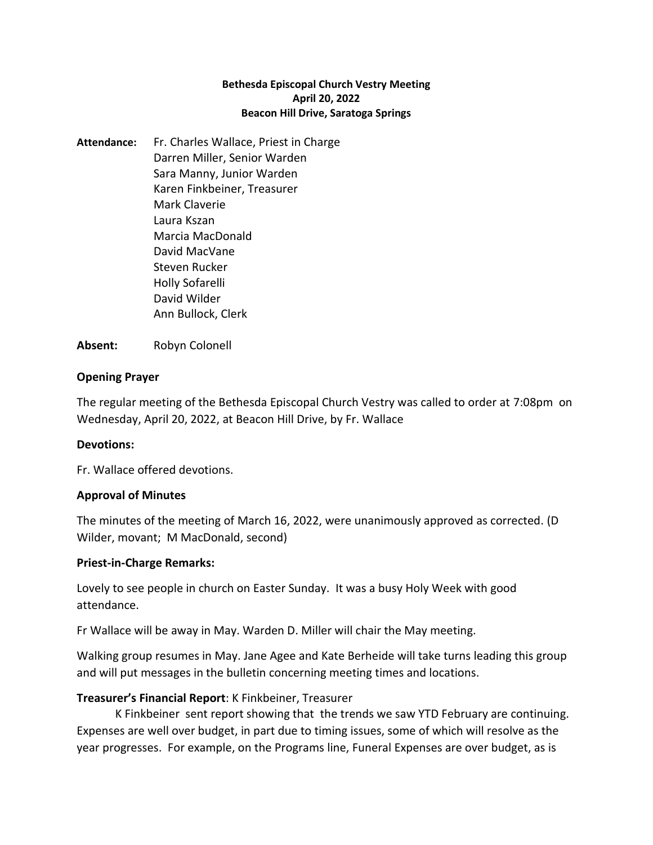#### **Bethesda Episcopal Church Vestry Meeting April 20, 2022 Beacon Hill Drive, Saratoga Springs**

**Attendance:** Fr. Charles Wallace, Priest in Charge Darren Miller, Senior Warden Sara Manny, Junior Warden Karen Finkbeiner, Treasurer Mark Claverie Laura Kszan Marcia MacDonald David MacVane Steven Rucker Holly Sofarelli David Wilder Ann Bullock, Clerk

**Absent:** Robyn Colonell

### **Opening Prayer**

The regular meeting of the Bethesda Episcopal Church Vestry was called to order at 7:08pm on Wednesday, April 20, 2022, at Beacon Hill Drive, by Fr. Wallace

### **Devotions:**

Fr. Wallace offered devotions.

### **Approval of Minutes**

The minutes of the meeting of March 16, 2022, were unanimously approved as corrected. (D Wilder, movant; M MacDonald, second)

### **Priest-in-Charge Remarks:**

Lovely to see people in church on Easter Sunday. It was a busy Holy Week with good attendance.

Fr Wallace will be away in May. Warden D. Miller will chair the May meeting.

Walking group resumes in May. Jane Agee and Kate Berheide will take turns leading this group and will put messages in the bulletin concerning meeting times and locations.

## **Treasurer's Financial Report**: K Finkbeiner, Treasurer

K Finkbeiner sent report showing that the trends we saw YTD February are continuing. Expenses are well over budget, in part due to timing issues, some of which will resolve as the year progresses. For example, on the Programs line, Funeral Expenses are over budget, as is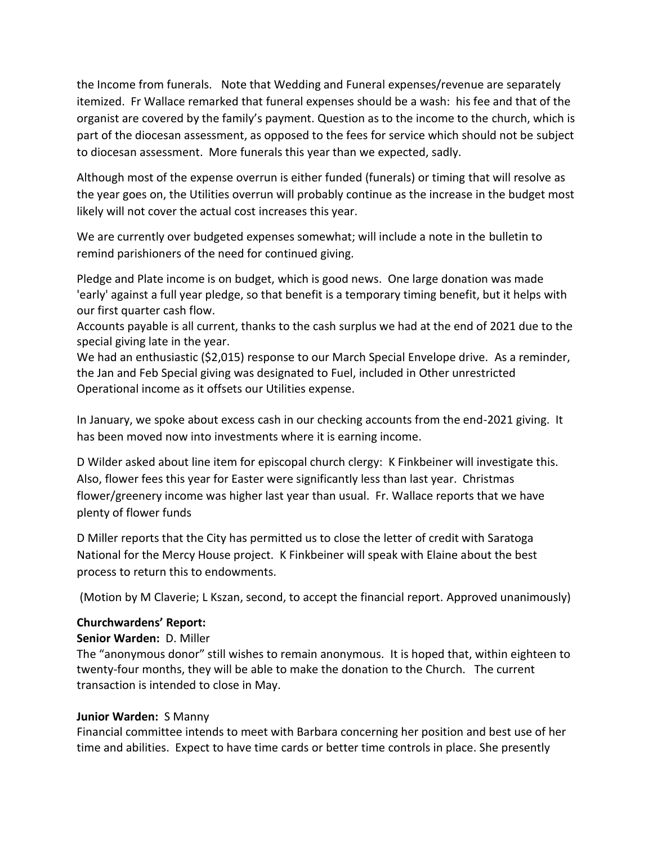the Income from funerals. Note that Wedding and Funeral expenses/revenue are separately itemized. Fr Wallace remarked that funeral expenses should be a wash: his fee and that of the organist are covered by the family's payment. Question as to the income to the church, which is part of the diocesan assessment, as opposed to the fees for service which should not be subject to diocesan assessment. More funerals this year than we expected, sadly.

Although most of the expense overrun is either funded (funerals) or timing that will resolve as the year goes on, the Utilities overrun will probably continue as the increase in the budget most likely will not cover the actual cost increases this year.

We are currently over budgeted expenses somewhat; will include a note in the bulletin to remind parishioners of the need for continued giving.

Pledge and Plate income is on budget, which is good news. One large donation was made 'early' against a full year pledge, so that benefit is a temporary timing benefit, but it helps with our first quarter cash flow.

Accounts payable is all current, thanks to the cash surplus we had at the end of 2021 due to the special giving late in the year.

We had an enthusiastic (\$2,015) response to our March Special Envelope drive. As a reminder, the Jan and Feb Special giving was designated to Fuel, included in Other unrestricted Operational income as it offsets our Utilities expense.

In January, we spoke about excess cash in our checking accounts from the end-2021 giving. It has been moved now into investments where it is earning income.

D Wilder asked about line item for episcopal church clergy: K Finkbeiner will investigate this. Also, flower fees this year for Easter were significantly less than last year. Christmas flower/greenery income was higher last year than usual. Fr. Wallace reports that we have plenty of flower funds

D Miller reports that the City has permitted us to close the letter of credit with Saratoga National for the Mercy House project. K Finkbeiner will speak with Elaine about the best process to return this to endowments.

(Motion by M Claverie; L Kszan, second, to accept the financial report. Approved unanimously)

### **Churchwardens' Report:**

## **Senior Warden:** D. Miller

The "anonymous donor" still wishes to remain anonymous. It is hoped that, within eighteen to twenty-four months, they will be able to make the donation to the Church. The current transaction is intended to close in May.

## **Junior Warden:** S Manny

Financial committee intends to meet with Barbara concerning her position and best use of her time and abilities. Expect to have time cards or better time controls in place. She presently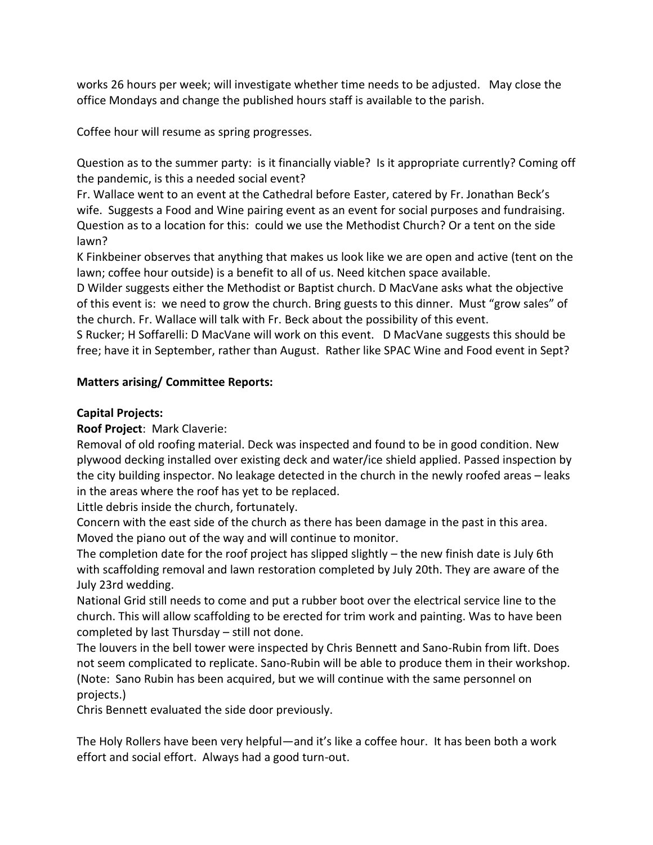works 26 hours per week; will investigate whether time needs to be adjusted. May close the office Mondays and change the published hours staff is available to the parish.

Coffee hour will resume as spring progresses.

Question as to the summer party: is it financially viable? Is it appropriate currently? Coming off the pandemic, is this a needed social event?

Fr. Wallace went to an event at the Cathedral before Easter, catered by Fr. Jonathan Beck's wife. Suggests a Food and Wine pairing event as an event for social purposes and fundraising. Question as to a location for this: could we use the Methodist Church? Or a tent on the side lawn?

K Finkbeiner observes that anything that makes us look like we are open and active (tent on the lawn; coffee hour outside) is a benefit to all of us. Need kitchen space available.

D Wilder suggests either the Methodist or Baptist church. D MacVane asks what the objective of this event is: we need to grow the church. Bring guests to this dinner. Must "grow sales" of the church. Fr. Wallace will talk with Fr. Beck about the possibility of this event.

S Rucker; H Soffarelli: D MacVane will work on this event. D MacVane suggests this should be free; have it in September, rather than August. Rather like SPAC Wine and Food event in Sept?

# **Matters arising/ Committee Reports:**

## **Capital Projects:**

**Roof Project**: Mark Claverie:

Removal of old roofing material. Deck was inspected and found to be in good condition. New plywood decking installed over existing deck and water/ice shield applied. Passed inspection by the city building inspector. No leakage detected in the church in the newly roofed areas – leaks in the areas where the roof has yet to be replaced.

Little debris inside the church, fortunately.

Concern with the east side of the church as there has been damage in the past in this area. Moved the piano out of the way and will continue to monitor.

The completion date for the roof project has slipped slightly – the new finish date is July 6th with scaffolding removal and lawn restoration completed by July 20th. They are aware of the July 23rd wedding.

National Grid still needs to come and put a rubber boot over the electrical service line to the church. This will allow scaffolding to be erected for trim work and painting. Was to have been completed by last Thursday – still not done.

The louvers in the bell tower were inspected by Chris Bennett and Sano-Rubin from lift. Does not seem complicated to replicate. Sano-Rubin will be able to produce them in their workshop. (Note: Sano Rubin has been acquired, but we will continue with the same personnel on projects.)

Chris Bennett evaluated the side door previously.

The Holy Rollers have been very helpful—and it's like a coffee hour. It has been both a work effort and social effort. Always had a good turn-out.